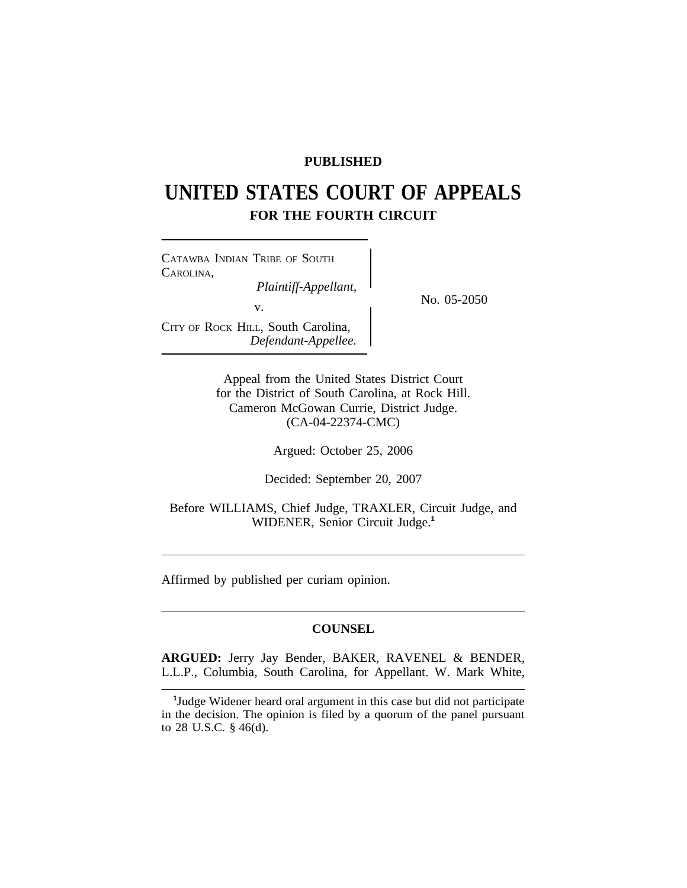# **PUBLISHED**

# **UNITED STATES COURT OF APPEALS FOR THE FOURTH CIRCUIT**

<sup>C</sup>ATAWBA INDIAN TRIBE OF SOUTH CAROLINA, *Plaintiff-Appellant,*<br>No. 05-2050 v. CITY OF ROCK HILL, South Carolina, *Defendant-Appellee.*

Appeal from the United States District Court for the District of South Carolina, at Rock Hill. Cameron McGowan Currie, District Judge. (CA-04-22374-CMC)

Argued: October 25, 2006

Decided: September 20, 2007

Before WILLIAMS, Chief Judge, TRAXLER, Circuit Judge, and WIDENER, Senior Circuit Judge.**<sup>1</sup>**

Affirmed by published per curiam opinion.

# **COUNSEL**

**ARGUED:** Jerry Jay Bender, BAKER, RAVENEL & BENDER, L.L.P., Columbia, South Carolina, for Appellant. W. Mark White,

**<sup>1</sup>** Judge Widener heard oral argument in this case but did not participate in the decision. The opinion is filed by a quorum of the panel pursuant to 28 U.S.C. § 46(d).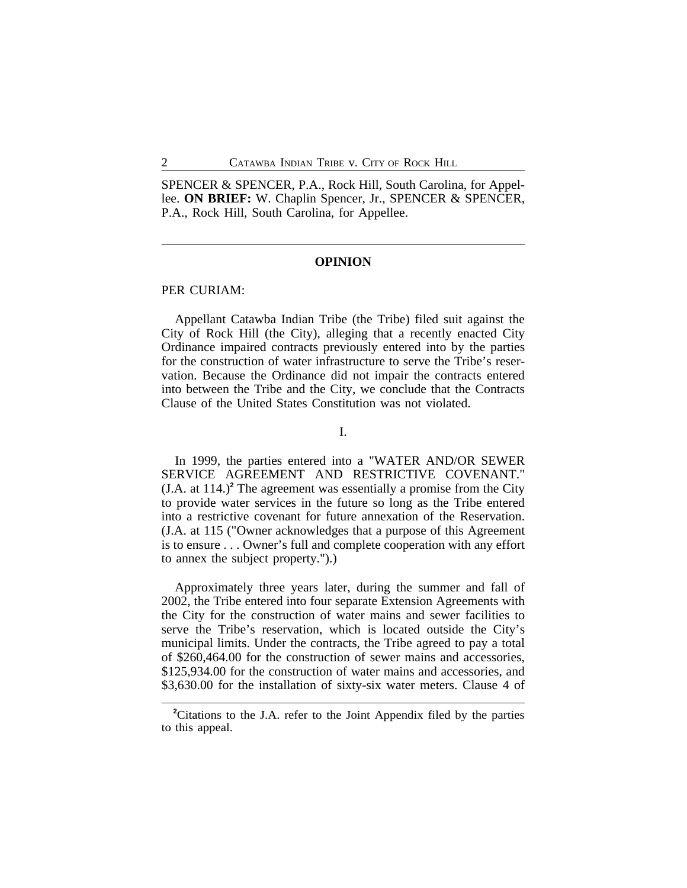SPENCER & SPENCER, P.A., Rock Hill, South Carolina, for Appellee. **ON BRIEF:** W. Chaplin Spencer, Jr., SPENCER & SPENCER, P.A., Rock Hill, South Carolina, for Appellee.

#### **OPINION**

# PER CURIAM:

Appellant Catawba Indian Tribe (the Tribe) filed suit against the City of Rock Hill (the City), alleging that a recently enacted City Ordinance impaired contracts previously entered into by the parties for the construction of water infrastructure to serve the Tribe's reservation. Because the Ordinance did not impair the contracts entered into between the Tribe and the City, we conclude that the Contracts Clause of the United States Constitution was not violated.

I.

In 1999, the parties entered into a "WATER AND/OR SEWER SERVICE AGREEMENT AND RESTRICTIVE COVENANT." (J.A. at 114.)**<sup>2</sup>** The agreement was essentially a promise from the City to provide water services in the future so long as the Tribe entered into a restrictive covenant for future annexation of the Reservation. (J.A. at 115 ("Owner acknowledges that a purpose of this Agreement is to ensure . . . Owner's full and complete cooperation with any effort to annex the subject property.").)

Approximately three years later, during the summer and fall of 2002, the Tribe entered into four separate Extension Agreements with the City for the construction of water mains and sewer facilities to serve the Tribe's reservation, which is located outside the City's municipal limits. Under the contracts, the Tribe agreed to pay a total of \$260,464.00 for the construction of sewer mains and accessories, \$125,934.00 for the construction of water mains and accessories, and \$3,630.00 for the installation of sixty-six water meters. Clause 4 of

<sup>&</sup>lt;sup>2</sup>Citations to the J.A. refer to the Joint Appendix filed by the parties to this appeal.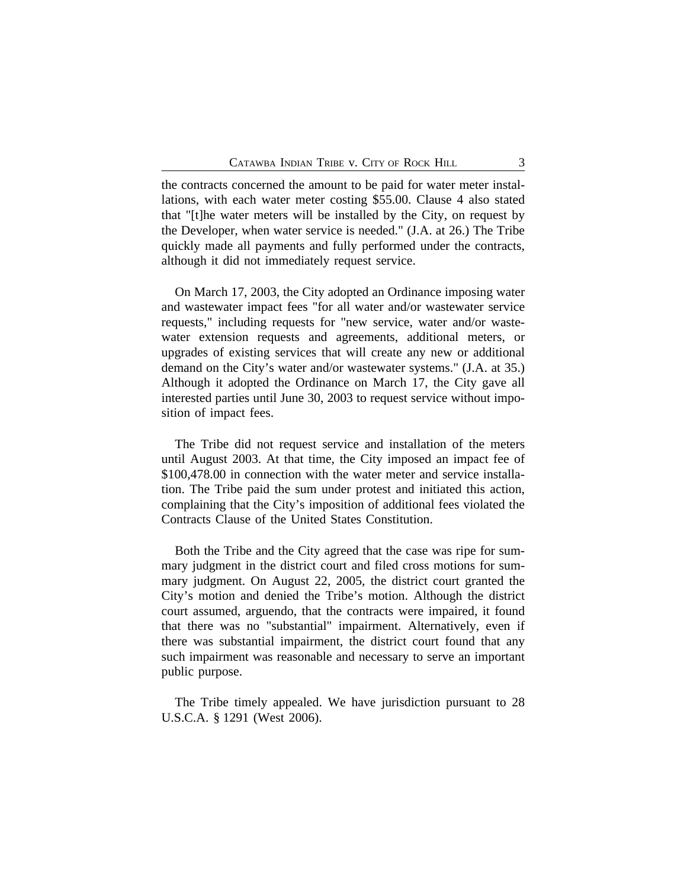the contracts concerned the amount to be paid for water meter installations, with each water meter costing \$55.00. Clause 4 also stated that "[t]he water meters will be installed by the City, on request by the Developer, when water service is needed." (J.A. at 26.) The Tribe quickly made all payments and fully performed under the contracts, although it did not immediately request service.

On March 17, 2003, the City adopted an Ordinance imposing water and wastewater impact fees "for all water and/or wastewater service requests," including requests for "new service, water and/or wastewater extension requests and agreements, additional meters, or upgrades of existing services that will create any new or additional demand on the City's water and/or wastewater systems." (J.A. at 35.) Although it adopted the Ordinance on March 17, the City gave all interested parties until June 30, 2003 to request service without imposition of impact fees.

The Tribe did not request service and installation of the meters until August 2003. At that time, the City imposed an impact fee of \$100,478.00 in connection with the water meter and service installation. The Tribe paid the sum under protest and initiated this action, complaining that the City's imposition of additional fees violated the Contracts Clause of the United States Constitution.

Both the Tribe and the City agreed that the case was ripe for summary judgment in the district court and filed cross motions for summary judgment. On August 22, 2005, the district court granted the City's motion and denied the Tribe's motion. Although the district court assumed, arguendo, that the contracts were impaired, it found that there was no "substantial" impairment. Alternatively, even if there was substantial impairment, the district court found that any such impairment was reasonable and necessary to serve an important public purpose.

The Tribe timely appealed. We have jurisdiction pursuant to 28 U.S.C.A. § 1291 (West 2006).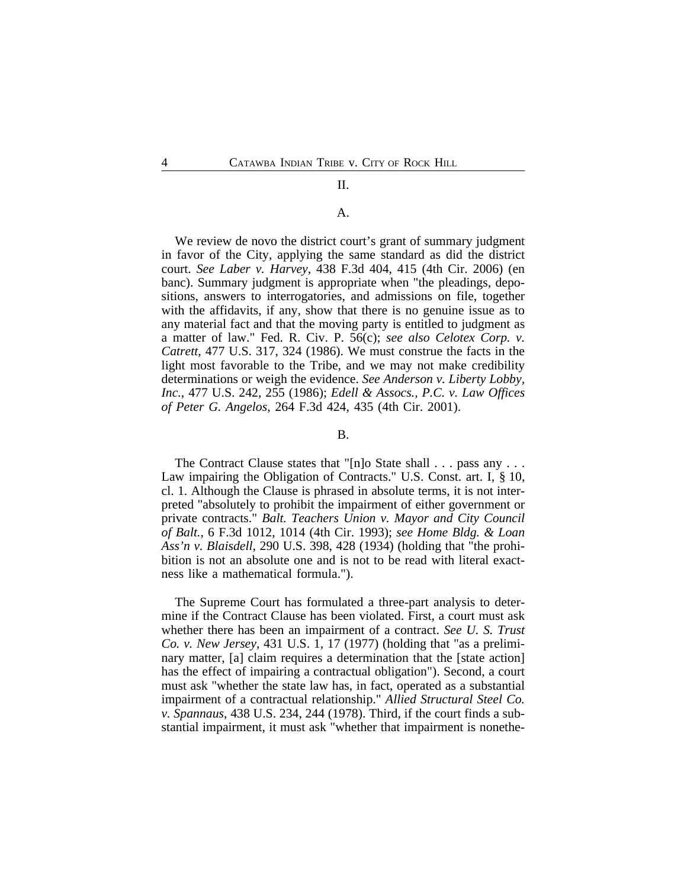## II.

#### A.

We review de novo the district court's grant of summary judgment in favor of the City, applying the same standard as did the district court. *See Laber v. Harvey*, 438 F.3d 404, 415 (4th Cir. 2006) (en banc). Summary judgment is appropriate when "the pleadings, depositions, answers to interrogatories, and admissions on file, together with the affidavits, if any, show that there is no genuine issue as to any material fact and that the moving party is entitled to judgment as a matter of law." Fed. R. Civ. P. 56(c); *see also Celotex Corp. v. Catrett*, 477 U.S. 317, 324 (1986). We must construe the facts in the light most favorable to the Tribe, and we may not make credibility determinations or weigh the evidence. *See Anderson v. Liberty Lobby, Inc.*, 477 U.S. 242, 255 (1986); *Edell & Assocs., P.C. v. Law Offices of Peter G. Angelos*, 264 F.3d 424, 435 (4th Cir. 2001).

#### B.

The Contract Clause states that "[n]o State shall . . . pass any . . . Law impairing the Obligation of Contracts." U.S. Const. art. I, § 10, cl. 1. Although the Clause is phrased in absolute terms, it is not interpreted "absolutely to prohibit the impairment of either government or private contracts." *Balt. Teachers Union v. Mayor and City Council of Balt.*, 6 F.3d 1012, 1014 (4th Cir. 1993); *see Home Bldg. & Loan Ass'n v. Blaisdell*, 290 U.S. 398, 428 (1934) (holding that "the prohibition is not an absolute one and is not to be read with literal exactness like a mathematical formula.").

The Supreme Court has formulated a three-part analysis to determine if the Contract Clause has been violated. First, a court must ask whether there has been an impairment of a contract. *See U. S. Trust Co. v. New Jersey*, 431 U.S. 1, 17 (1977) (holding that "as a preliminary matter, [a] claim requires a determination that the [state action] has the effect of impairing a contractual obligation"). Second, a court must ask "whether the state law has, in fact, operated as a substantial impairment of a contractual relationship." *Allied Structural Steel Co. v. Spannaus*, 438 U.S. 234, 244 (1978). Third, if the court finds a substantial impairment, it must ask "whether that impairment is nonethe-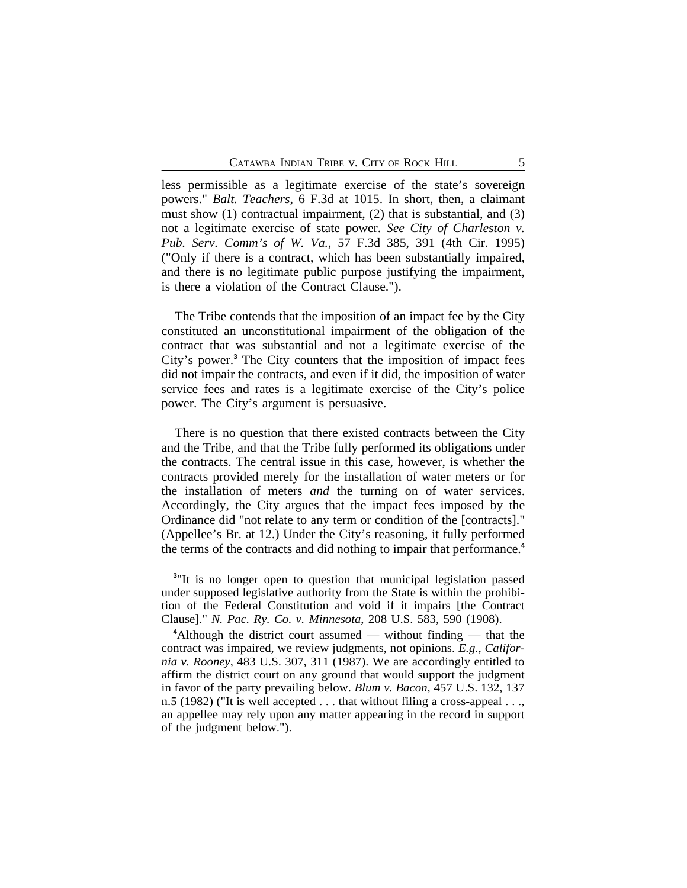less permissible as a legitimate exercise of the state's sovereign powers." *Balt. Teachers*, 6 F.3d at 1015. In short, then, a claimant must show (1) contractual impairment, (2) that is substantial, and (3) not a legitimate exercise of state power. *See City of Charleston v. Pub. Serv. Comm's of W. Va.*, 57 F.3d 385, 391 (4th Cir. 1995) ("Only if there is a contract, which has been substantially impaired, and there is no legitimate public purpose justifying the impairment, is there a violation of the Contract Clause.").

The Tribe contends that the imposition of an impact fee by the City constituted an unconstitutional impairment of the obligation of the contract that was substantial and not a legitimate exercise of the City's power.**<sup>3</sup>** The City counters that the imposition of impact fees did not impair the contracts, and even if it did, the imposition of water service fees and rates is a legitimate exercise of the City's police power. The City's argument is persuasive.

There is no question that there existed contracts between the City and the Tribe, and that the Tribe fully performed its obligations under the contracts. The central issue in this case, however, is whether the contracts provided merely for the installation of water meters or for the installation of meters *and* the turning on of water services. Accordingly, the City argues that the impact fees imposed by the Ordinance did "not relate to any term or condition of the [contracts]." (Appellee's Br. at 12.) Under the City's reasoning, it fully performed the terms of the contracts and did nothing to impair that performance.**<sup>4</sup>**

<sup>&</sup>lt;sup>3</sup>"It is no longer open to question that municipal legislation passed under supposed legislative authority from the State is within the prohibition of the Federal Constitution and void if it impairs [the Contract Clause]." *N. Pac. Ry. Co. v. Minnesota*, 208 U.S. 583, 590 (1908).

**<sup>4</sup>**Although the district court assumed — without finding — that the contract was impaired, we review judgments, not opinions. *E.g.*, *California v. Rooney*, 483 U.S. 307, 311 (1987). We are accordingly entitled to affirm the district court on any ground that would support the judgment in favor of the party prevailing below. *Blum v. Bacon*, 457 U.S. 132, 137 n.5 (1982) ("It is well accepted . . . that without filing a cross-appeal . . ., an appellee may rely upon any matter appearing in the record in support of the judgment below.").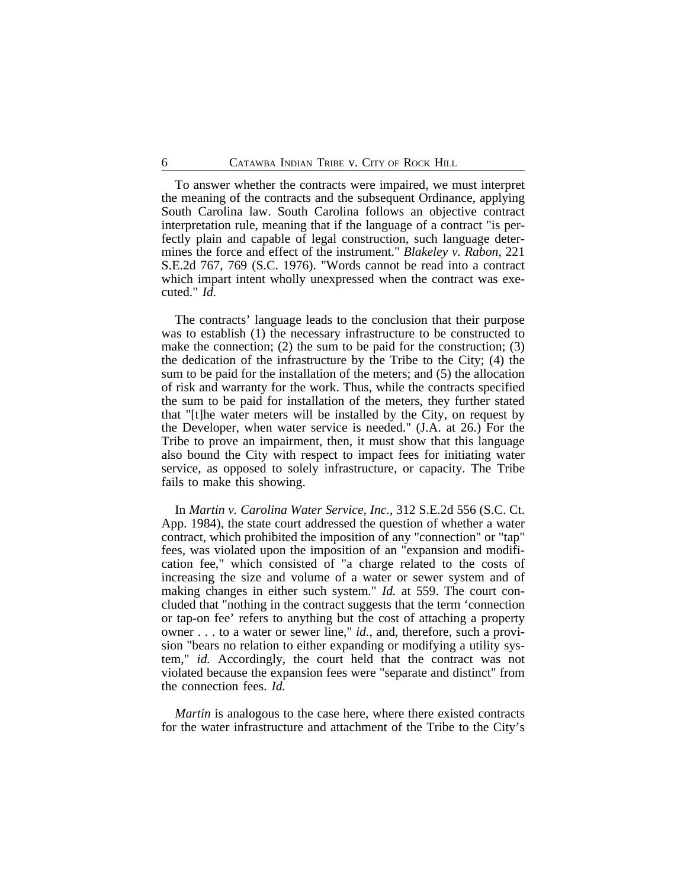To answer whether the contracts were impaired, we must interpret the meaning of the contracts and the subsequent Ordinance, applying South Carolina law. South Carolina follows an objective contract interpretation rule, meaning that if the language of a contract "is perfectly plain and capable of legal construction, such language determines the force and effect of the instrument." *Blakeley v. Rabon*, 221 S.E.2d 767, 769 (S.C. 1976). "Words cannot be read into a contract which impart intent wholly unexpressed when the contract was executed." *Id.*

The contracts' language leads to the conclusion that their purpose was to establish (1) the necessary infrastructure to be constructed to make the connection; (2) the sum to be paid for the construction; (3) the dedication of the infrastructure by the Tribe to the City; (4) the sum to be paid for the installation of the meters; and (5) the allocation of risk and warranty for the work. Thus, while the contracts specified the sum to be paid for installation of the meters, they further stated that "[t]he water meters will be installed by the City, on request by the Developer, when water service is needed." (J.A. at 26.) For the Tribe to prove an impairment, then, it must show that this language also bound the City with respect to impact fees for initiating water service, as opposed to solely infrastructure, or capacity. The Tribe fails to make this showing.

In *Martin v. Carolina Water Service, Inc.*, 312 S.E.2d 556 (S.C. Ct. App. 1984), the state court addressed the question of whether a water contract, which prohibited the imposition of any "connection" or "tap" fees, was violated upon the imposition of an "expansion and modification fee," which consisted of "a charge related to the costs of increasing the size and volume of a water or sewer system and of making changes in either such system." *Id.* at 559. The court concluded that "nothing in the contract suggests that the term 'connection or tap-on fee' refers to anything but the cost of attaching a property owner . . . to a water or sewer line," *id.*, and, therefore, such a provision "bears no relation to either expanding or modifying a utility system," *id.* Accordingly, the court held that the contract was not violated because the expansion fees were "separate and distinct" from the connection fees. *Id.*

*Martin* is analogous to the case here, where there existed contracts for the water infrastructure and attachment of the Tribe to the City's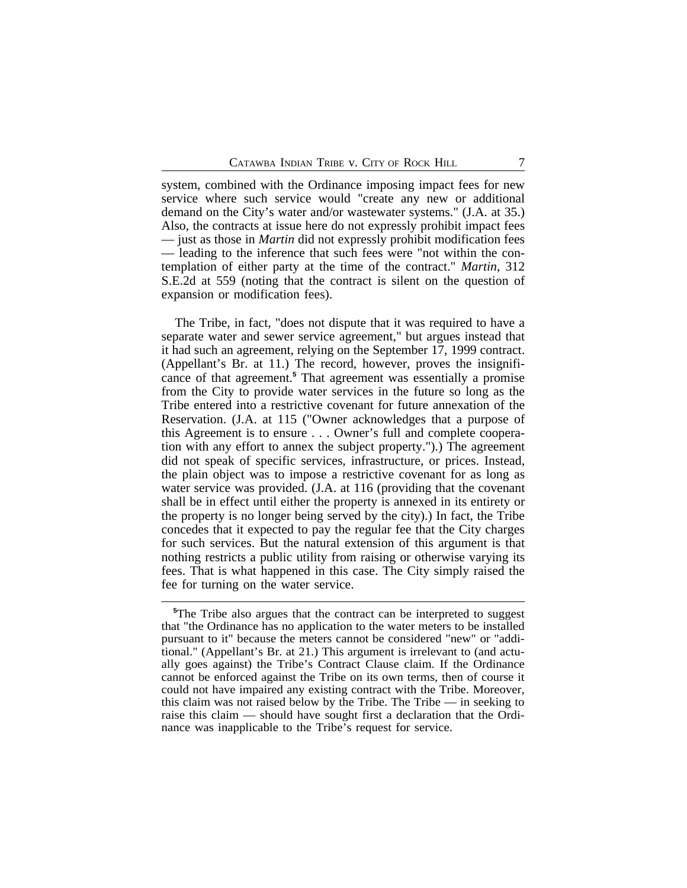system, combined with the Ordinance imposing impact fees for new service where such service would "create any new or additional demand on the City's water and/or wastewater systems." (J.A. at 35.) Also, the contracts at issue here do not expressly prohibit impact fees — just as those in *Martin* did not expressly prohibit modification fees — leading to the inference that such fees were "not within the contemplation of either party at the time of the contract." *Martin*, 312 S.E.2d at 559 (noting that the contract is silent on the question of expansion or modification fees).

The Tribe, in fact, "does not dispute that it was required to have a separate water and sewer service agreement," but argues instead that it had such an agreement, relying on the September 17, 1999 contract. (Appellant's Br. at 11.) The record, however, proves the insignificance of that agreement.**<sup>5</sup>** That agreement was essentially a promise from the City to provide water services in the future so long as the Tribe entered into a restrictive covenant for future annexation of the Reservation. (J.A. at 115 ("Owner acknowledges that a purpose of this Agreement is to ensure . . . Owner's full and complete cooperation with any effort to annex the subject property.").) The agreement did not speak of specific services, infrastructure, or prices. Instead, the plain object was to impose a restrictive covenant for as long as water service was provided. (J.A. at 116 (providing that the covenant shall be in effect until either the property is annexed in its entirety or the property is no longer being served by the city).) In fact, the Tribe concedes that it expected to pay the regular fee that the City charges for such services. But the natural extension of this argument is that nothing restricts a public utility from raising or otherwise varying its fees. That is what happened in this case. The City simply raised the fee for turning on the water service.

<sup>&</sup>lt;sup>5</sup>The Tribe also argues that the contract can be interpreted to suggest that "the Ordinance has no application to the water meters to be installed pursuant to it" because the meters cannot be considered "new" or "additional." (Appellant's Br. at 21.) This argument is irrelevant to (and actually goes against) the Tribe's Contract Clause claim. If the Ordinance cannot be enforced against the Tribe on its own terms, then of course it could not have impaired any existing contract with the Tribe. Moreover, this claim was not raised below by the Tribe. The Tribe — in seeking to raise this claim — should have sought first a declaration that the Ordinance was inapplicable to the Tribe's request for service.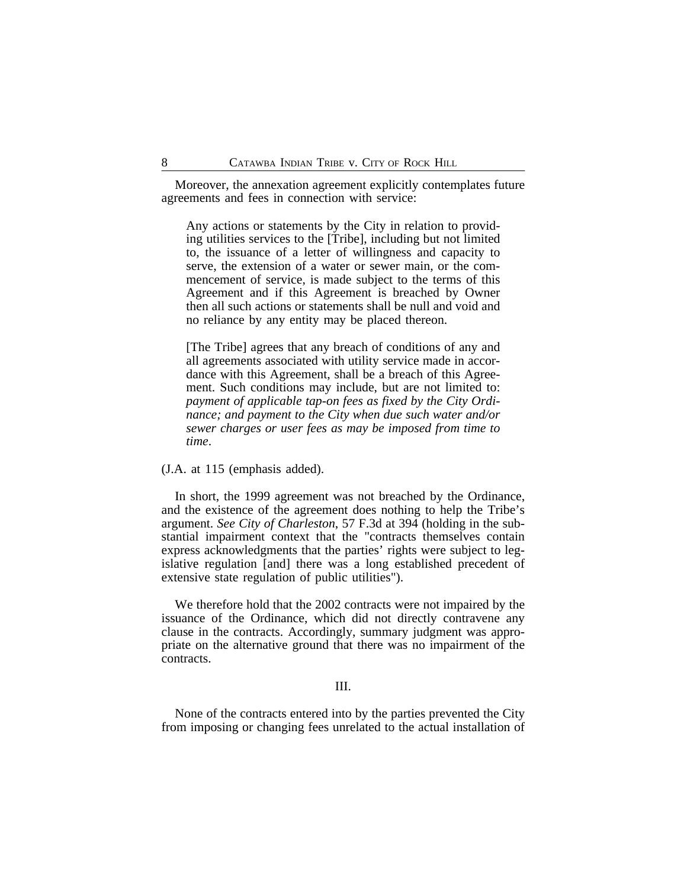Moreover, the annexation agreement explicitly contemplates future agreements and fees in connection with service:

Any actions or statements by the City in relation to providing utilities services to the [Tribe], including but not limited to, the issuance of a letter of willingness and capacity to serve, the extension of a water or sewer main, or the commencement of service, is made subject to the terms of this Agreement and if this Agreement is breached by Owner then all such actions or statements shall be null and void and no reliance by any entity may be placed thereon.

[The Tribe] agrees that any breach of conditions of any and all agreements associated with utility service made in accordance with this Agreement, shall be a breach of this Agreement. Such conditions may include, but are not limited to: *payment of applicable tap-on fees as fixed by the City Ordinance; and payment to the City when due such water and/or sewer charges or user fees as may be imposed from time to time*.

(J.A. at 115 (emphasis added).

In short, the 1999 agreement was not breached by the Ordinance, and the existence of the agreement does nothing to help the Tribe's argument. *See City of Charleston*, 57 F.3d at 394 (holding in the substantial impairment context that the "contracts themselves contain express acknowledgments that the parties' rights were subject to legislative regulation [and] there was a long established precedent of extensive state regulation of public utilities").

We therefore hold that the 2002 contracts were not impaired by the issuance of the Ordinance, which did not directly contravene any clause in the contracts. Accordingly, summary judgment was appropriate on the alternative ground that there was no impairment of the contracts.

### III.

None of the contracts entered into by the parties prevented the City from imposing or changing fees unrelated to the actual installation of